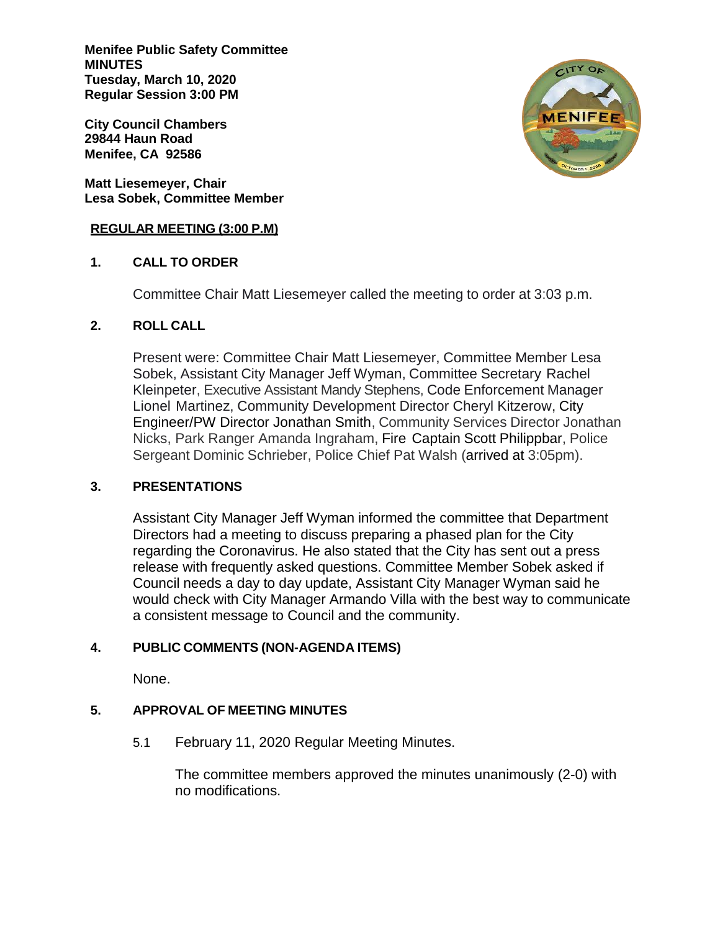**Menifee Public Safety Committee MINUTES Tuesday, March 10, 2020 Regular Session 3:00 PM**

**City Council Chambers 29844 Haun Road Menifee, CA 92586**

**Matt Liesemeyer, Chair Lesa Sobek, Committee Member**

### **REGULAR MEETING (3:00 P.M)**

# **1. CALL TO ORDER**

Committee Chair Matt Liesemeyer called the meeting to order at 3:03 p.m.

# **2. ROLL CALL**

Present were: Committee Chair Matt Liesemeyer, Committee Member Lesa Sobek, Assistant City Manager Jeff Wyman, Committee Secretary Rachel Kleinpeter, Executive Assistant Mandy Stephens, Code Enforcement Manager Lionel Martinez, Community Development Director Cheryl Kitzerow, City Engineer/PW Director Jonathan Smith, Community Services Director Jonathan Nicks, Park Ranger Amanda Ingraham, Fire Captain Scott Philippbar, Police Sergeant Dominic Schrieber, Police Chief Pat Walsh (arrived at 3:05pm).

# **3. PRESENTATIONS**

Assistant City Manager Jeff Wyman informed the committee that Department Directors had a meeting to discuss preparing a phased plan for the City regarding the Coronavirus. He also stated that the City has sent out a press release with frequently asked questions. Committee Member Sobek asked if Council needs a day to day update, Assistant City Manager Wyman said he would check with City Manager Armando Villa with the best way to communicate a consistent message to Council and the community.

# **4. PUBLIC COMMENTS (NON-AGENDA ITEMS)**

None.

# **5. APPROVAL OF MEETING MINUTES**

5.1 February 11, 2020 Regular Meeting Minutes.

The committee members approved the minutes unanimously (2-0) with no modifications.

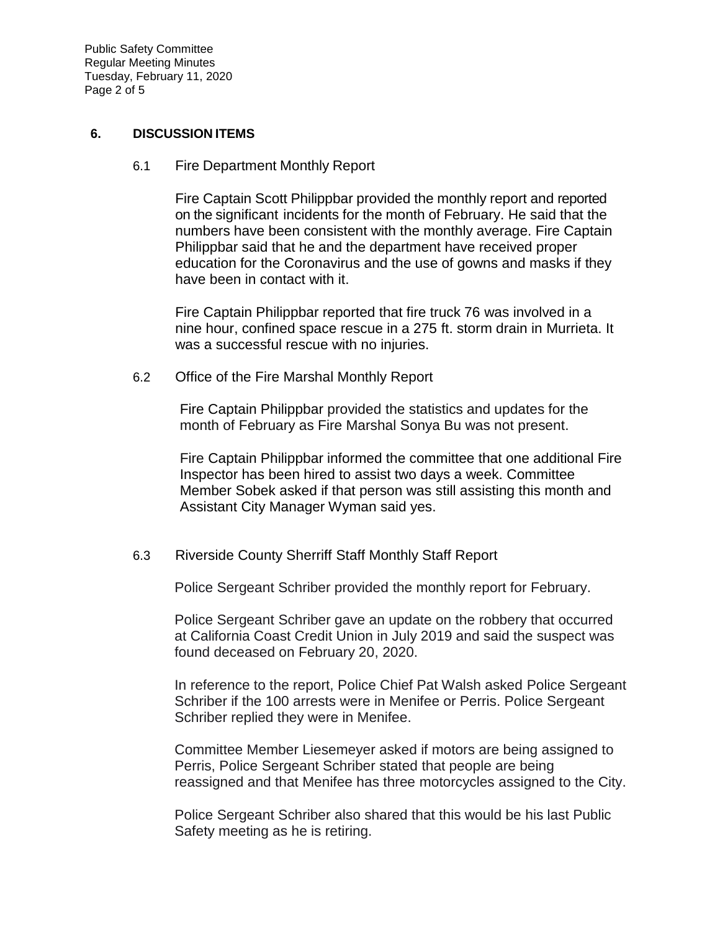Public Safety Committee Regular Meeting Minutes Tuesday, February 11, 2020 Page 2 of 5

## **6. DISCUSSION ITEMS**

6.1 Fire Department Monthly Report

Fire Captain Scott Philippbar provided the monthly report and reported on the significant incidents for the month of February. He said that the numbers have been consistent with the monthly average. Fire Captain Philippbar said that he and the department have received proper education for the Coronavirus and the use of gowns and masks if they have been in contact with it.

Fire Captain Philippbar reported that fire truck 76 was involved in a nine hour, confined space rescue in a 275 ft. storm drain in Murrieta. It was a successful rescue with no injuries.

6.2 Office of the Fire Marshal Monthly Report

Fire Captain Philippbar provided the statistics and updates for the month of February as Fire Marshal Sonya Bu was not present.

Fire Captain Philippbar informed the committee that one additional Fire Inspector has been hired to assist two days a week. Committee Member Sobek asked if that person was still assisting this month and Assistant City Manager Wyman said yes.

# 6.3 Riverside County Sherriff Staff Monthly Staff Report

Police Sergeant Schriber provided the monthly report for February.

Police Sergeant Schriber gave an update on the robbery that occurred at California Coast Credit Union in July 2019 and said the suspect was found deceased on February 20, 2020.

In reference to the report, Police Chief Pat Walsh asked Police Sergeant Schriber if the 100 arrests were in Menifee or Perris. Police Sergeant Schriber replied they were in Menifee.

Committee Member Liesemeyer asked if motors are being assigned to Perris, Police Sergeant Schriber stated that people are being reassigned and that Menifee has three motorcycles assigned to the City.

Police Sergeant Schriber also shared that this would be his last Public Safety meeting as he is retiring.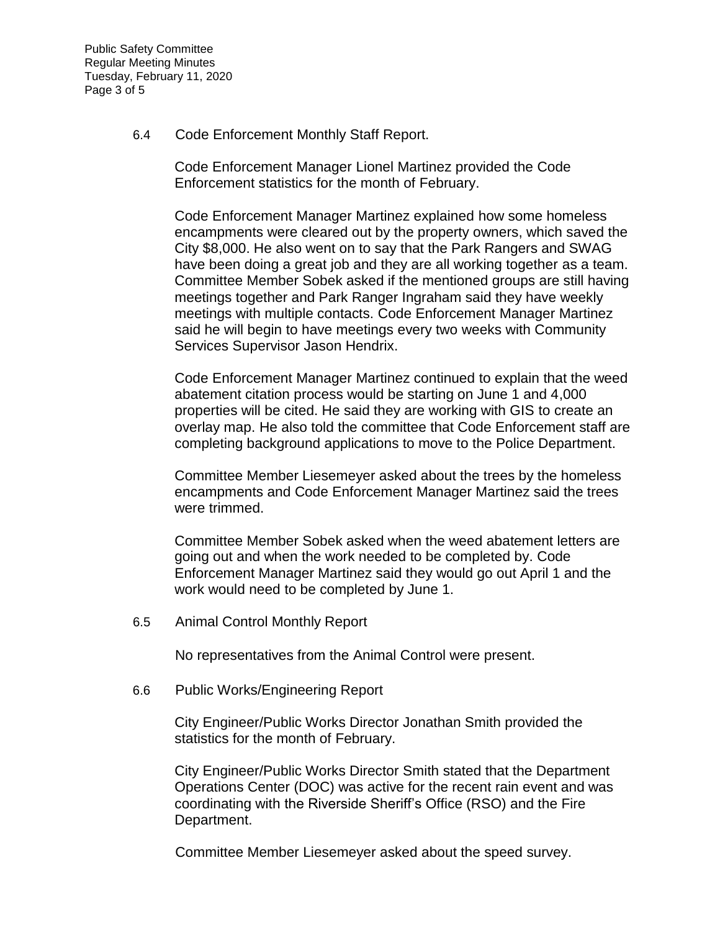Public Safety Committee Regular Meeting Minutes Tuesday, February 11, 2020 Page 3 of 5

6.4 Code Enforcement Monthly Staff Report.

Code Enforcement Manager Lionel Martinez provided the Code Enforcement statistics for the month of February.

Code Enforcement Manager Martinez explained how some homeless encampments were cleared out by the property owners, which saved the City \$8,000. He also went on to say that the Park Rangers and SWAG have been doing a great job and they are all working together as a team. Committee Member Sobek asked if the mentioned groups are still having meetings together and Park Ranger Ingraham said they have weekly meetings with multiple contacts. Code Enforcement Manager Martinez said he will begin to have meetings every two weeks with Community Services Supervisor Jason Hendrix.

Code Enforcement Manager Martinez continued to explain that the weed abatement citation process would be starting on June 1 and 4,000 properties will be cited. He said they are working with GIS to create an overlay map. He also told the committee that Code Enforcement staff are completing background applications to move to the Police Department.

Committee Member Liesemeyer asked about the trees by the homeless encampments and Code Enforcement Manager Martinez said the trees were trimmed.

Committee Member Sobek asked when the weed abatement letters are going out and when the work needed to be completed by. Code Enforcement Manager Martinez said they would go out April 1 and the work would need to be completed by June 1.

6.5 Animal Control Monthly Report

No representatives from the Animal Control were present.

6.6 Public Works/Engineering Report

City Engineer/Public Works Director Jonathan Smith provided the statistics for the month of February.

City Engineer/Public Works Director Smith stated that the Department Operations Center (DOC) was active for the recent rain event and was coordinating with the Riverside Sheriff's Office (RSO) and the Fire Department.

Committee Member Liesemeyer asked about the speed survey.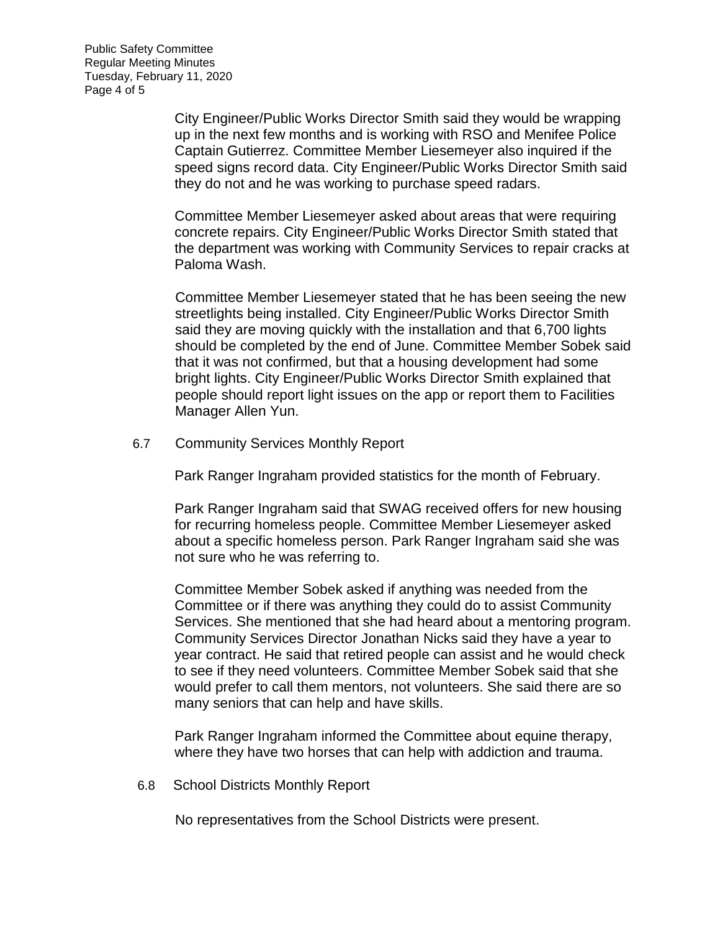Public Safety Committee Regular Meeting Minutes Tuesday, February 11, 2020 Page 4 of 5

> City Engineer/Public Works Director Smith said they would be wrapping up in the next few months and is working with RSO and Menifee Police Captain Gutierrez. Committee Member Liesemeyer also inquired if the speed signs record data. City Engineer/Public Works Director Smith said they do not and he was working to purchase speed radars.

> Committee Member Liesemeyer asked about areas that were requiring concrete repairs. City Engineer/Public Works Director Smith stated that the department was working with Community Services to repair cracks at Paloma Wash.

> Committee Member Liesemeyer stated that he has been seeing the new streetlights being installed. City Engineer/Public Works Director Smith said they are moving quickly with the installation and that 6,700 lights should be completed by the end of June. Committee Member Sobek said that it was not confirmed, but that a housing development had some bright lights. City Engineer/Public Works Director Smith explained that people should report light issues on the app or report them to Facilities Manager Allen Yun.

6.7 Community Services Monthly Report

Park Ranger Ingraham provided statistics for the month of February.

Park Ranger Ingraham said that SWAG received offers for new housing for recurring homeless people. Committee Member Liesemeyer asked about a specific homeless person. Park Ranger Ingraham said she was not sure who he was referring to.

Committee Member Sobek asked if anything was needed from the Committee or if there was anything they could do to assist Community Services. She mentioned that she had heard about a mentoring program. Community Services Director Jonathan Nicks said they have a year to year contract. He said that retired people can assist and he would check to see if they need volunteers. Committee Member Sobek said that she would prefer to call them mentors, not volunteers. She said there are so many seniors that can help and have skills.

Park Ranger Ingraham informed the Committee about equine therapy, where they have two horses that can help with addiction and trauma.

6.8 School Districts Monthly Report

No representatives from the School Districts were present.